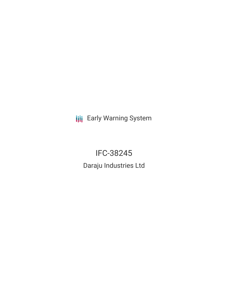**III** Early Warning System

IFC-38245 Daraju Industries Ltd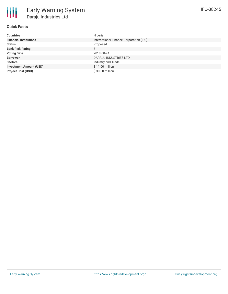

# **Quick Facts**

| <b>Countries</b>               | Nigeria                                 |
|--------------------------------|-----------------------------------------|
| <b>Financial Institutions</b>  | International Finance Corporation (IFC) |
| <b>Status</b>                  | Proposed                                |
| <b>Bank Risk Rating</b>        | B                                       |
| <b>Voting Date</b>             | 2018-08-24                              |
| <b>Borrower</b>                | <b>DARAJU INDUSTRIES LTD</b>            |
| <b>Sectors</b>                 | Industry and Trade                      |
| <b>Investment Amount (USD)</b> | \$11.00 million                         |
| <b>Project Cost (USD)</b>      | \$30.00 million                         |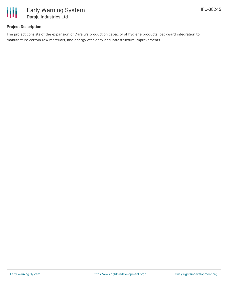

# **Project Description**

The project consists of the expansion of Daraju's production capacity of hygiene products, backward integration to manufacture certain raw materials, and energy efficiency and infrastructure improvements.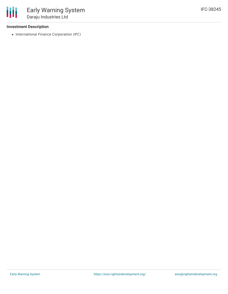### **Investment Description**

冊

• International Finance Corporation (IFC)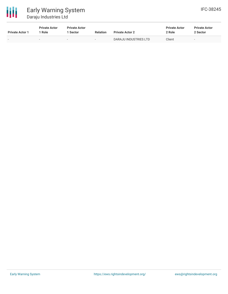

| <b>Private Actor 1</b> | <b>Private Actor</b><br>: Role | <b>Private Actor</b><br><b>Sector</b> | <b>Relation</b> | <b>Private Actor 2</b> | <b>Private Actor</b><br>2 Role | <b>Private Actor</b><br>2 Sector |
|------------------------|--------------------------------|---------------------------------------|-----------------|------------------------|--------------------------------|----------------------------------|
|                        |                                | -                                     |                 | DARAJU INDUSTRIES LTD  | Client                         | $\overline{\phantom{0}}$         |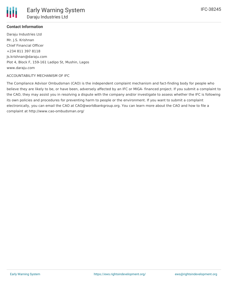

## **Contact Information**

Daraju Industries Ltd Mr. J.S. Krishnan Chief Financial Officer +234 811 397 8118 Js.krishnan@daraju.com Plot 4, Block F, 159-161 Ladipo St, Mushin, Lagos www.daraju.com

### ACCOUNTABILITY MECHANISM OF IFC

The Compliance Advisor Ombudsman (CAO) is the independent complaint mechanism and fact-finding body for people who believe they are likely to be, or have been, adversely affected by an IFC or MIGA- financed project. If you submit a complaint to the CAO, they may assist you in resolving a dispute with the company and/or investigate to assess whether the IFC is following its own policies and procedures for preventing harm to people or the environment. If you want to submit a complaint electronically, you can email the CAO at CAO@worldbankgroup.org. You can learn more about the CAO and how to file a complaint at http://www.cao-ombudsman.org/